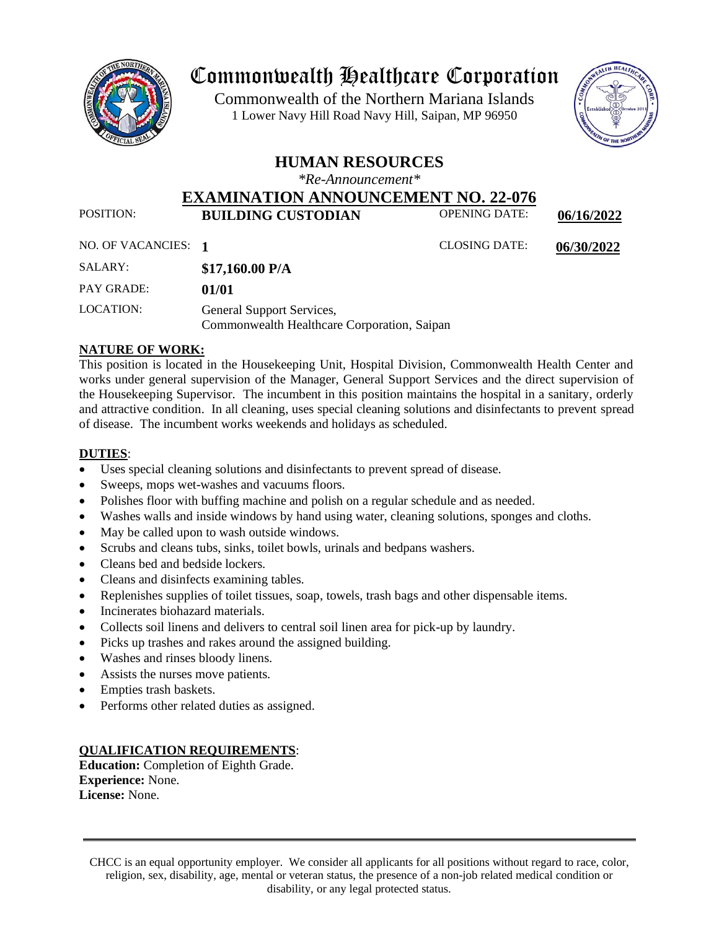

# Commonwealth Healthcare Corporation

 1 Lower Navy Hill Road Navy Hill, Saipan, MP 96950Commonwealth of the Northern Mariana Islands



# **HUMAN RESOURCES**

*\*Re-Announcement\**

## **EXAMINATION ANNOUNCEMENT NO. 22-076**<br>**EXAMINATION ANNOUNCEMENT OPENING DATE:** POSITION: **BUILDING CUSTODIAN** OPENING DATE: **06/16/2022**

| NO. OF VACANCIES: | <b>CLOSING DATE:</b> | 06/30/2022 |
|-------------------|----------------------|------------|

| SALARY:           | \$17,160.00 P/A                                                          |
|-------------------|--------------------------------------------------------------------------|
| <b>PAY GRADE:</b> | 01/01                                                                    |
| LOCATION:         | General Support Services,<br>Commonwealth Healthcare Corporation, Saipan |

# **NATURE OF WORK:**

This position is located in the Housekeeping Unit, Hospital Division, Commonwealth Health Center and works under general supervision of the Manager, General Support Services and the direct supervision of the Housekeeping Supervisor. The incumbent in this position maintains the hospital in a sanitary, orderly and attractive condition. In all cleaning, uses special cleaning solutions and disinfectants to prevent spread of disease. The incumbent works weekends and holidays as scheduled.

# **DUTIES**:

- Uses special cleaning solutions and disinfectants to prevent spread of disease.
- Sweeps, mops wet-washes and vacuums floors.
- Polishes floor with buffing machine and polish on a regular schedule and as needed.
- Washes walls and inside windows by hand using water, cleaning solutions, sponges and cloths.
- May be called upon to wash outside windows.
- Scrubs and cleans tubs, sinks, toilet bowls, urinals and bedpans washers.
- Cleans bed and bedside lockers.
- Cleans and disinfects examining tables.
- Replenishes supplies of toilet tissues, soap, towels, trash bags and other dispensable items.
- Incinerates biohazard materials.
- Collects soil linens and delivers to central soil linen area for pick-up by laundry.
- Picks up trashes and rakes around the assigned building.
- Washes and rinses bloody linens.
- Assists the nurses move patients.
- Empties trash baskets.
- Performs other related duties as assigned.

## **QUALIFICATION REQUIREMENTS**:

**Education:** Completion of Eighth Grade. **Experience:** None. **License:** None.

CHCC is an equal opportunity employer. We consider all applicants for all positions without regard to race, color, religion, sex, disability, age, mental or veteran status, the presence of a non-job related medical condition or disability, or any legal protected status.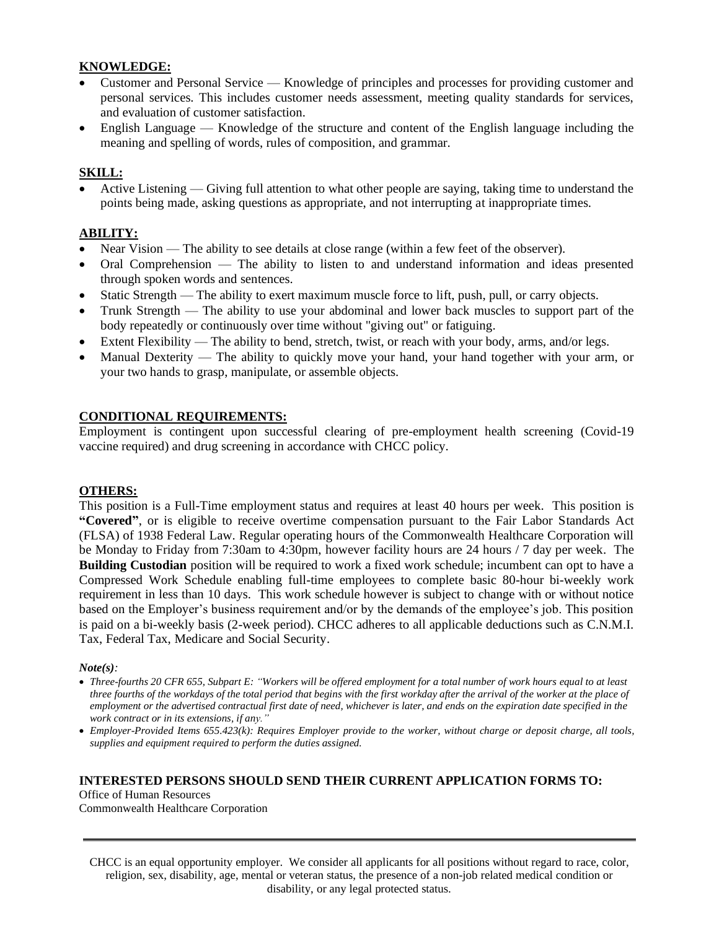#### **KNOWLEDGE:**

- Customer and Personal Service Knowledge of principles and processes for providing customer and personal services. This includes customer needs assessment, meeting quality standards for services, and evaluation of customer satisfaction.
- English Language Knowledge of the structure and content of the English language including the meaning and spelling of words, rules of composition, and grammar.

#### **SKILL:**

• Active Listening — Giving full attention to what other people are saying, taking time to understand the points being made, asking questions as appropriate, and not interrupting at inappropriate times.

#### **ABILITY:**

- Near Vision The ability to see details at close range (within a few feet of the observer).
- Oral Comprehension The ability to listen to and understand information and ideas presented through spoken words and sentences.
- Static Strength The ability to exert maximum muscle force to lift, push, pull, or carry objects.
- Trunk Strength The ability to use your abdominal and lower back muscles to support part of the body repeatedly or continuously over time without "giving out" or fatiguing.
- Extent Flexibility The ability to bend, stretch, twist, or reach with your body, arms, and/or legs.
- Manual Dexterity The ability to quickly move your hand, your hand together with your arm, or your two hands to grasp, manipulate, or assemble objects.

#### **CONDITIONAL REQUIREMENTS:**

Employment is contingent upon successful clearing of pre-employment health screening (Covid-19 vaccine required) and drug screening in accordance with CHCC policy.

#### **OTHERS:**

This position is a Full-Time employment status and requires at least 40 hours per week. This position is **"Covered"**, or is eligible to receive overtime compensation pursuant to the Fair Labor Standards Act (FLSA) of 1938 Federal Law. Regular operating hours of the Commonwealth Healthcare Corporation will be Monday to Friday from 7:30am to 4:30pm, however facility hours are 24 hours / 7 day per week. The **Building Custodian** position will be required to work a fixed work schedule; incumbent can opt to have a Compressed Work Schedule enabling full-time employees to complete basic 80-hour bi-weekly work requirement in less than 10 days. This work schedule however is subject to change with or without notice based on the Employer's business requirement and/or by the demands of the employee's job. This position is paid on a bi-weekly basis (2-week period). CHCC adheres to all applicable deductions such as C.N.M.I. Tax, Federal Tax, Medicare and Social Security.

#### *Note(s):*

- *Three-fourths 20 CFR 655, Subpart E: "Workers will be offered employment for a total number of work hours equal to at least three fourths of the workdays of the total period that begins with the first workday after the arrival of the worker at the place of employment or the advertised contractual first date of need, whichever is later, and ends on the expiration date specified in the work contract or in its extensions, if any."*
- *Employer-Provided Items 655.423(k): Requires Employer provide to the worker, without charge or deposit charge, all tools, supplies and equipment required to perform the duties assigned.*

#### **INTERESTED PERSONS SHOULD SEND THEIR CURRENT APPLICATION FORMS TO:**

Office of Human Resources Commonwealth Healthcare Corporation

CHCC is an equal opportunity employer. We consider all applicants for all positions without regard to race, color, religion, sex, disability, age, mental or veteran status, the presence of a non-job related medical condition or disability, or any legal protected status.